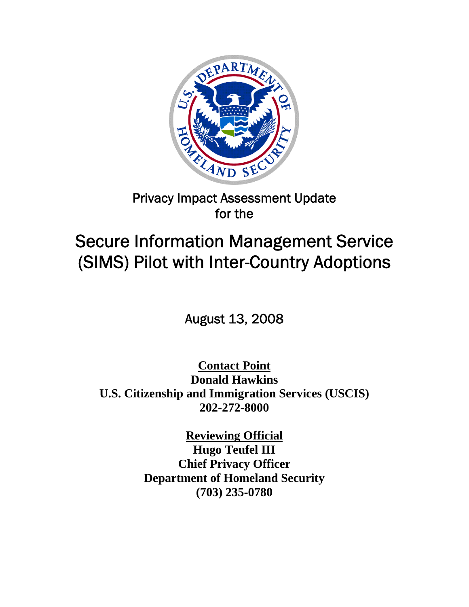

# Privacy Impact Assessment Update for the

# Secure Information Management Service (SIMS) Pilot with Inter-Country Adoptions

August 13, 2008

**Contact Point Donald Hawkins U.S. Citizenship and Immigration Services (USCIS) 202-272-8000** 

> **Reviewing Official Hugo Teufel III Chief Privacy Officer Department of Homeland Security (703) 235-0780**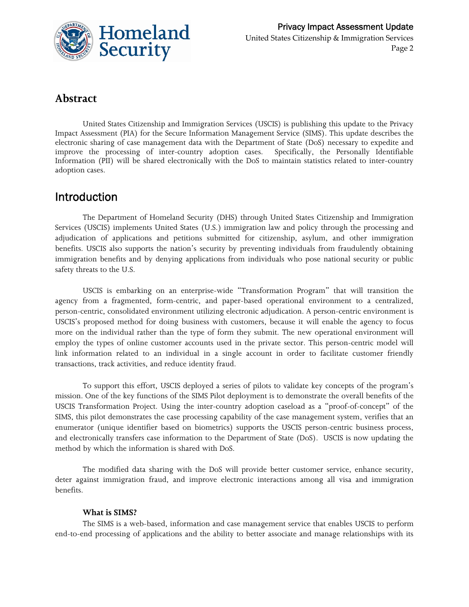

### **Abstract**

United States Citizenship and Immigration Services (USCIS) is publishing this update to the Privacy Impact Assessment (PIA) for the Secure Information Management Service (SIMS). This update describes the electronic sharing of case management data with the Department of State (DoS) necessary to expedite and improve the processing of inter-country adoption cases. Specifically, the Personally Identifiable Information (PII) will be shared electronically with the DoS to maintain statistics related to inter-country adoption cases.

### Introduction

The Department of Homeland Security (DHS) through United States Citizenship and Immigration Services (USCIS) implements United States (U.S.) immigration law and policy through the processing and adjudication of applications and petitions submitted for citizenship, asylum, and other immigration benefits. USCIS also supports the nation's security by preventing individuals from fraudulently obtaining immigration benefits and by denying applications from individuals who pose national security or public safety threats to the U.S.

USCIS is embarking on an enterprise-wide "Transformation Program" that will transition the agency from a fragmented, form-centric, and paper-based operational environment to a centralized, person-centric, consolidated environment utilizing electronic adjudication. A person-centric environment is USCIS's proposed method for doing business with customers, because it will enable the agency to focus more on the individual rather than the type of form they submit. The new operational environment will employ the types of online customer accounts used in the private sector. This person-centric model will link information related to an individual in a single account in order to facilitate customer friendly transactions, track activities, and reduce identity fraud.

To support this effort, USCIS deployed a series of pilots to validate key concepts of the program's mission. One of the key functions of the SIMS Pilot deployment is to demonstrate the overall benefits of the USCIS Transformation Project. Using the inter-country adoption caseload as a "proof-of-concept" of the SIMS, this pilot demonstrates the case processing capability of the case management system, verifies that an enumerator (unique identifier based on biometrics) supports the USCIS person-centric business process, and electronically transfers case information to the Department of State (DoS). USCIS is now updating the method by which the information is shared with DoS.

The modified data sharing with the DoS will provide better customer service, enhance security, deter against immigration fraud, and improve electronic interactions among all visa and immigration benefits.

#### **What is SIMS?**

The SIMS is a web-based, information and case management service that enables USCIS to perform end-to-end processing of applications and the ability to better associate and manage relationships with its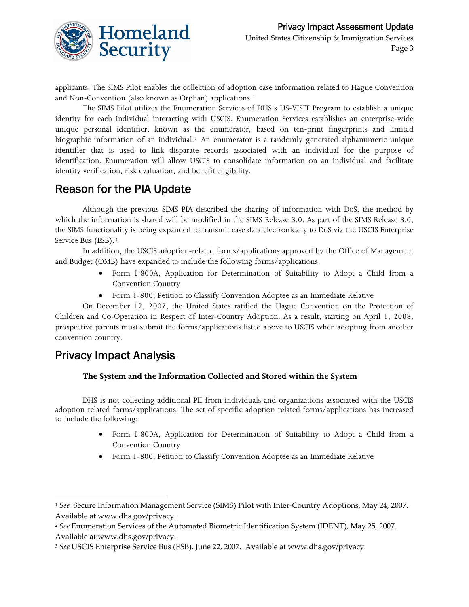

applicants. The SIMS Pilot enables the collection of adoption case information related to Hague Convention and Non-Convention (also known as Orphan) applications.<sup>[1](#page-2-0)</sup>

The SIMS Pilot utilizes the Enumeration Services of DHS's US-VISIT Program to establish a unique identity for each individual interacting with USCIS. Enumeration Services establishes an enterprise-wide unique personal identifier, known as the enumerator, based on ten-print fingerprints and limited biographic information of an individual.[2](#page-2-1) An enumerator is a randomly generated alphanumeric unique identifier that is used to link disparate records associated with an individual for the purpose of identification. Enumeration will allow USCIS to consolidate information on an individual and facilitate identity verification, risk evaluation, and benefit eligibility.

### Reason for the PIA Update

Although the previous SIMS PIA described the sharing of information with DoS, the method by which the information is shared will be modified in the SIMS Release 3.0. As part of the SIMS Release 3.0, the SIMS functionality is being expanded to transmit case data electronically to DoS via the USCIS Enterprise Service Bus (ESB).<sup>[3](#page-2-2)</sup>

In addition, the USCIS adoption-related forms/applications approved by the Office of Management and Budget (OMB) have expanded to include the following forms/applications:

- Form I-800A, Application for Determination of Suitability to Adopt a Child from a Convention Country
- Form 1-800, Petition to Classify Convention Adoptee as an Immediate Relative

On December 12, 2007, the United States ratified the Hague Convention on the Protection of Children and Co-Operation in Respect of Inter-Country Adoption. As a result, starting on April 1, 2008, prospective parents must submit the forms/applications listed above to USCIS when adopting from another convention country.

### Privacy Impact Analysis

<u> 1989 - Johann Stein, marwolaethau a bhann an t-Amhair Aonaichte an t-Amhair Aonaichte an t-Amhair Aonaichte a</u>

#### **The System and the Information Collected and Stored within the System**

DHS is not collecting additional PII from individuals and organizations associated with the USCIS adoption related forms/applications. The set of specific adoption related forms/applications has increased to include the following:

- Form I-800A, Application for Determination of Suitability to Adopt a Child from a Convention Country
- Form 1-800, Petition to Classify Convention Adoptee as an Immediate Relative

<span id="page-2-0"></span><sup>&</sup>lt;sup>1</sup> See Secure Information Management Service (SIMS) Pilot with Inter-Country Adoptions, May 24, 2007. Available at www.dhs.gov/privacy.

<span id="page-2-1"></span><sup>2</sup> *See* Enumeration Services of the Automated Biometric Identification System (IDENT), May 25, 2007. Available at www.dhs.gov/privacy.

<span id="page-2-2"></span><sup>3</sup> *See* USCIS Enterprise Service Bus (ESB), June 22, 2007. Available at www.dhs.gov/privacy.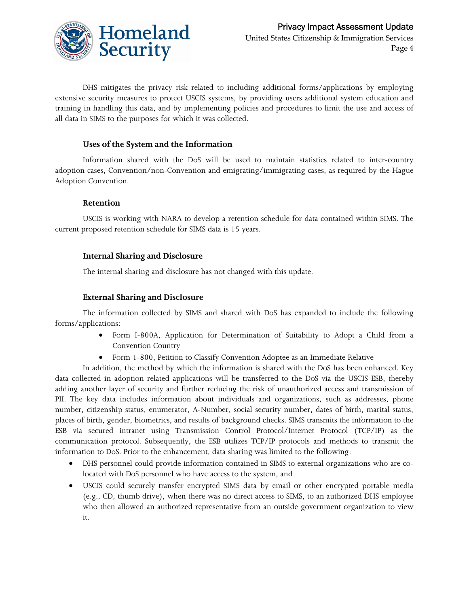

DHS mitigates the privacy risk related to including additional forms/applications by employing extensive security measures to protect USCIS systems, by providing users additional system education and training in handling this data, and by implementing policies and procedures to limit the use and access of all data in SIMS to the purposes for which it was collected.

#### **Uses of the System and the Information**

Information shared with the DoS will be used to maintain statistics related to inter-country adoption cases, Convention/non-Convention and emigrating/immigrating cases, as required by the Hague Adoption Convention.

#### **Retention**

USCIS is working with NARA to develop a retention schedule for data contained within SIMS. The current proposed retention schedule for SIMS data is 15 years.

#### **Internal Sharing and Disclosure**

The internal sharing and disclosure has not changed with this update.

#### **External Sharing and Disclosure**

The information collected by SIMS and shared with DoS has expanded to include the following forms/applications:

- Form I-800A, Application for Determination of Suitability to Adopt a Child from a Convention Country
- Form 1-800, Petition to Classify Convention Adoptee as an Immediate Relative

In addition, the method by which the information is shared with the DoS has been enhanced. Key data collected in adoption related applications will be transferred to the DoS via the USCIS ESB, thereby adding another layer of security and further reducing the risk of unauthorized access and transmission of PII. The key data includes information about individuals and organizations, such as addresses, phone number, citizenship status, enumerator, A-Number, social security number, dates of birth, marital status, places of birth, gender, biometrics, and results of background checks. SIMS transmits the information to the ESB via secured intranet using Transmission Control Protocol/Internet Protocol (TCP/IP) as the communication protocol. Subsequently, the ESB utilizes TCP/IP protocols and methods to transmit the information to DoS. Prior to the enhancement, data sharing was limited to the following:

- DHS personnel could provide information contained in SIMS to external organizations who are colocated with DoS personnel who have access to the system, and
- USCIS could securely transfer encrypted SIMS data by email or other encrypted portable media (e.g., CD, thumb drive), when there was no direct access to SIMS, to an authorized DHS employee who then allowed an authorized representative from an outside government organization to view it.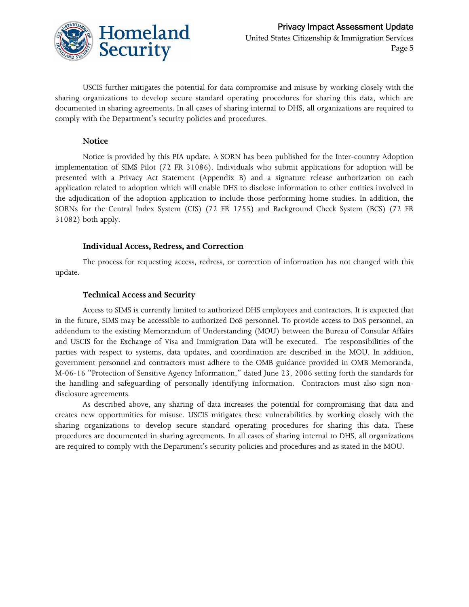

USCIS further mitigates the potential for data compromise and misuse by working closely with the sharing organizations to develop secure standard operating procedures for sharing this data, which are documented in sharing agreements. In all cases of sharing internal to DHS, all organizations are required to comply with the Department's security policies and procedures.

#### **Notice**

Notice is provided by this PIA update. A SORN has been published for the Inter-country Adoption implementation of SIMS Pilot (72 FR 31086). Individuals who submit applications for adoption will be presented with a Privacy Act Statement (Appendix B) and a signature release authorization on each application related to adoption which will enable DHS to disclose information to other entities involved in the adjudication of the adoption application to include those performing home studies. In addition, the SORNs for the Central Index System (CIS) (72 FR 1755) and Background Check System (BCS) (72 FR 31082) both apply.

#### **Individual Access, Redress, and Correction**

The process for requesting access, redress, or correction of information has not changed with this update.

#### **Technical Access and Security**

Access to SIMS is currently limited to authorized DHS employees and contractors. It is expected that in the future, SIMS may be accessible to authorized DoS personnel. To provide access to DoS personnel, an addendum to the existing Memorandum of Understanding (MOU) between the Bureau of Consular Affairs and USCIS for the Exchange of Visa and Immigration Data will be executed. The responsibilities of the parties with respect to systems, data updates, and coordination are described in the MOU. In addition, government personnel and contractors must adhere to the OMB guidance provided in OMB Memoranda, M-06-16 "Protection of Sensitive Agency Information," dated June 23, 2006 setting forth the standards for the handling and safeguarding of personally identifying information. Contractors must also sign nondisclosure agreements.

As described above, any sharing of data increases the potential for compromising that data and creates new opportunities for misuse. USCIS mitigates these vulnerabilities by working closely with the sharing organizations to develop secure standard operating procedures for sharing this data. These procedures are documented in sharing agreements. In all cases of sharing internal to DHS, all organizations are required to comply with the Department's security policies and procedures and as stated in the MOU.